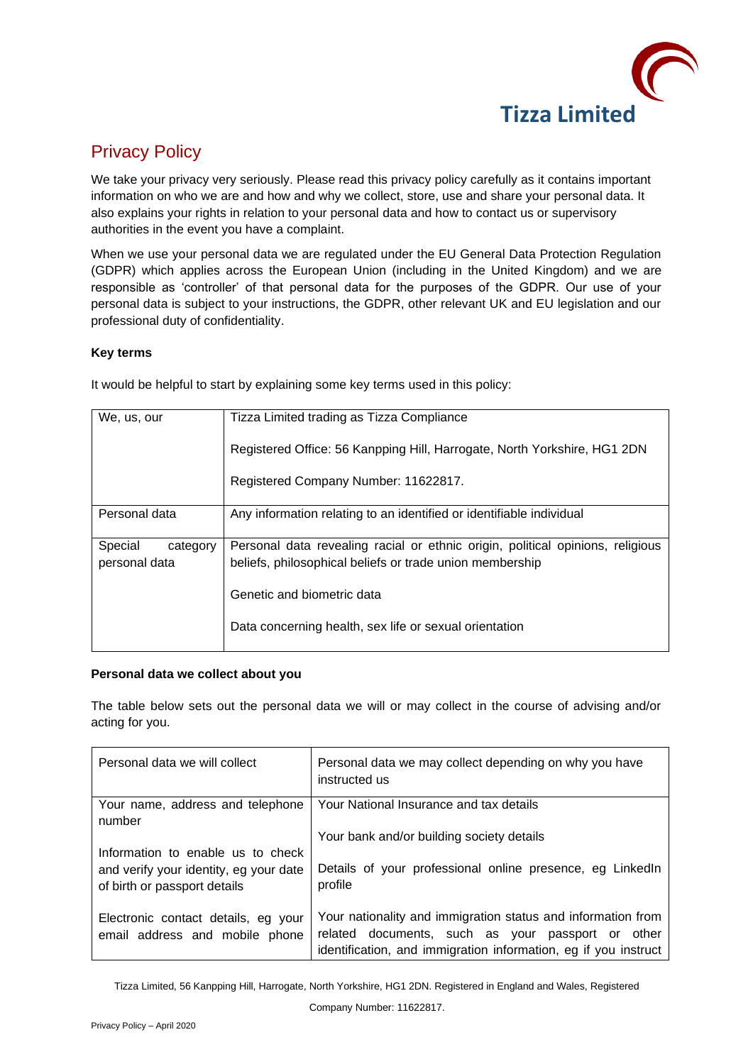

# Privacy Policy

We take your privacy very seriously. Please read this privacy policy carefully as it contains important information on who we are and how and why we collect, store, use and share your personal data. It also explains your rights in relation to your personal data and how to contact us or supervisory authorities in the event you have a complaint.

When we use your personal data we are regulated under the EU General Data Protection Regulation (GDPR) which applies across the European Union (including in the United Kingdom) and we are responsible as 'controller' of that personal data for the purposes of the GDPR. Our use of your personal data is subject to your instructions, the GDPR, other relevant UK and EU legislation and our professional duty of confidentiality.

# **Key terms**

It would be helpful to start by explaining some key terms used in this policy:

| We, us, our                          | Tizza Limited trading as Tizza Compliance                                                                                                  |
|--------------------------------------|--------------------------------------------------------------------------------------------------------------------------------------------|
|                                      | Registered Office: 56 Kanpping Hill, Harrogate, North Yorkshire, HG1 2DN                                                                   |
|                                      | Registered Company Number: 11622817.                                                                                                       |
| Personal data                        | Any information relating to an identified or identifiable individual                                                                       |
|                                      |                                                                                                                                            |
| Special<br>category<br>personal data | Personal data revealing racial or ethnic origin, political opinions, religious<br>beliefs, philosophical beliefs or trade union membership |
|                                      | Genetic and biometric data                                                                                                                 |
|                                      | Data concerning health, sex life or sexual orientation                                                                                     |

# **Personal data we collect about you**

The table below sets out the personal data we will or may collect in the course of advising and/or acting for you.

| Personal data we will collect                                                                               | Personal data we may collect depending on why you have<br>instructed us                                                                                                              |
|-------------------------------------------------------------------------------------------------------------|--------------------------------------------------------------------------------------------------------------------------------------------------------------------------------------|
| Your name, address and telephone<br>number                                                                  | Your National Insurance and tax details                                                                                                                                              |
|                                                                                                             | Your bank and/or building society details                                                                                                                                            |
| Information to enable us to check<br>and verify your identity, eg your date<br>of birth or passport details | Details of your professional online presence, eg LinkedIn<br>profile                                                                                                                 |
| Electronic contact details, eg your<br>email address and mobile phone                                       | Your nationality and immigration status and information from<br>related documents, such as your passport or other<br>identification, and immigration information, eg if you instruct |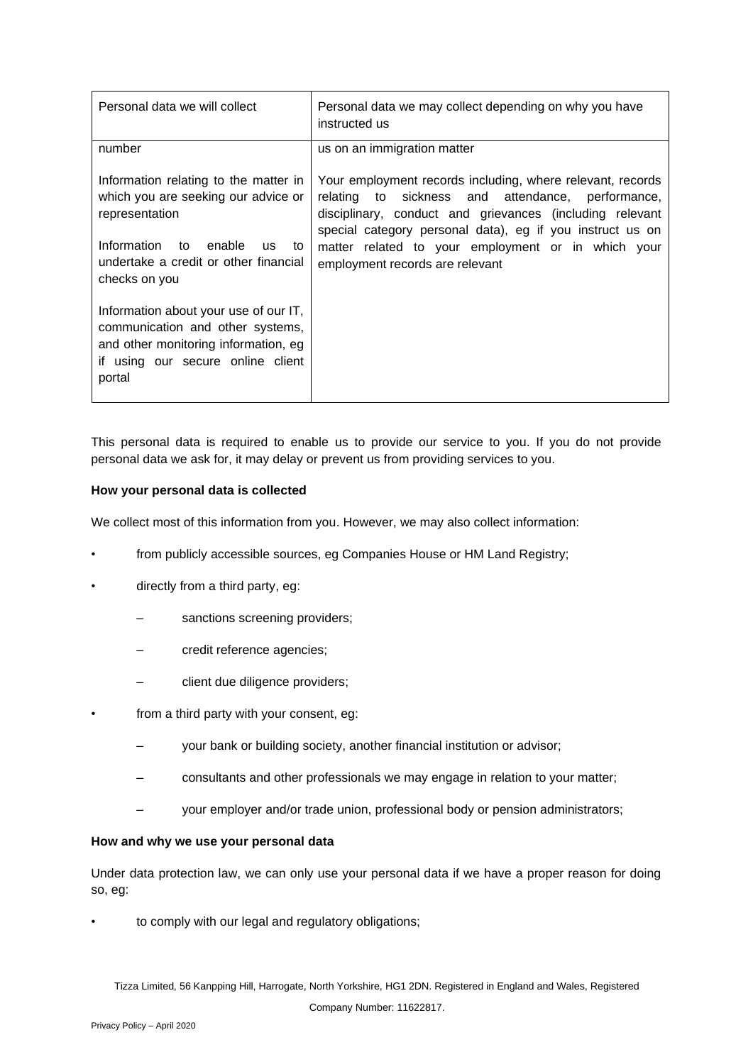| Personal data we will collect                                                                                                                                                                           | Personal data we may collect depending on why you have<br>instructed us                                                                                                                                                                                                                                                           |
|---------------------------------------------------------------------------------------------------------------------------------------------------------------------------------------------------------|-----------------------------------------------------------------------------------------------------------------------------------------------------------------------------------------------------------------------------------------------------------------------------------------------------------------------------------|
| number                                                                                                                                                                                                  | us on an immigration matter                                                                                                                                                                                                                                                                                                       |
| Information relating to the matter in<br>which you are seeking our advice or<br>representation<br>Information to<br>enable<br><b>us</b><br>to<br>undertake a credit or other financial<br>checks on you | Your employment records including, where relevant, records<br>relating to sickness and attendance, performance,<br>disciplinary, conduct and grievances (including relevant<br>special category personal data), eg if you instruct us on<br>matter related to your employment or in which your<br>employment records are relevant |
| Information about your use of our IT,<br>communication and other systems,<br>and other monitoring information, eg<br>if using our secure online client<br>portal                                        |                                                                                                                                                                                                                                                                                                                                   |

This personal data is required to enable us to provide our service to you. If you do not provide personal data we ask for, it may delay or prevent us from providing services to you.

# **How your personal data is collected**

We collect most of this information from you. However, we may also collect information:

- from publicly accessible sources, eg Companies House or HM Land Registry;
- directly from a third party, eg:
	- sanctions screening providers;
	- credit reference agencies;
	- client due diligence providers;
- from a third party with your consent, eg:
	- your bank or building society, another financial institution or advisor;
	- consultants and other professionals we may engage in relation to your matter;
	- your employer and/or trade union, professional body or pension administrators;

# **How and why we use your personal data**

Under data protection law, we can only use your personal data if we have a proper reason for doing so, eg:

to comply with our legal and regulatory obligations;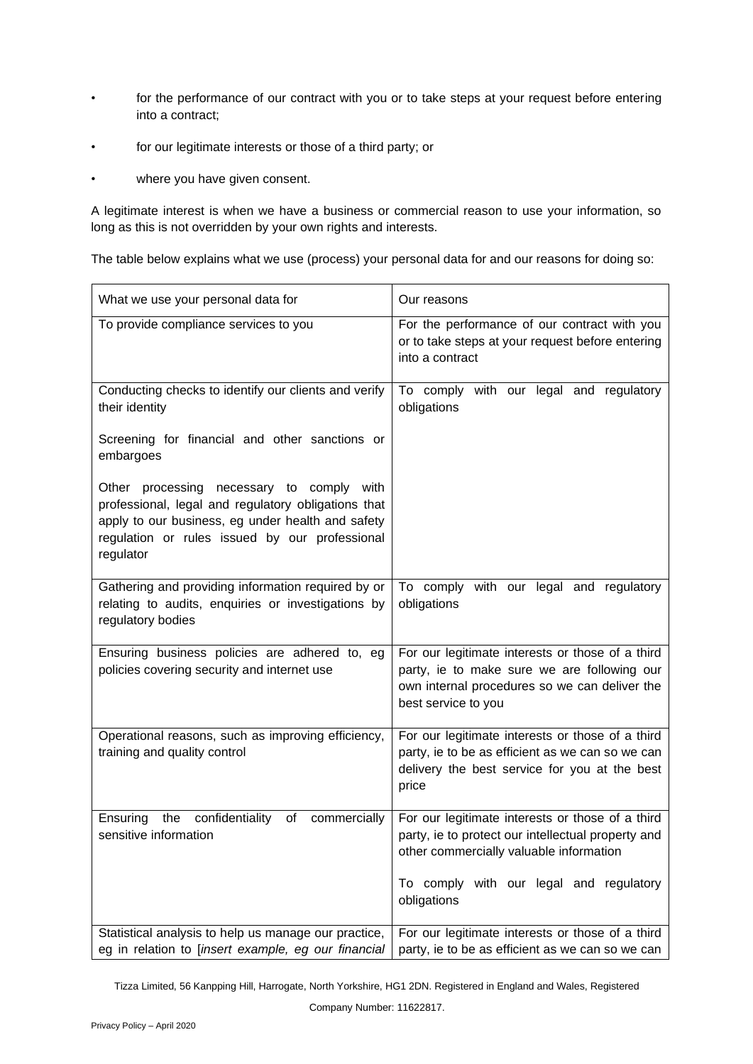- for the performance of our contract with you or to take steps at your request before entering into a contract;
- for our legitimate interests or those of a third party; or
- where you have given consent.

 $\mathbf{r}$ 

A legitimate interest is when we have a business or commercial reason to use your information, so long as this is not overridden by your own rights and interests.

The table below explains what we use (process) your personal data for and our reasons for doing so:

| What we use your personal data for                                                                                                                                                                                   | Our reasons                                                                                                                                                                                  |
|----------------------------------------------------------------------------------------------------------------------------------------------------------------------------------------------------------------------|----------------------------------------------------------------------------------------------------------------------------------------------------------------------------------------------|
| To provide compliance services to you                                                                                                                                                                                | For the performance of our contract with you<br>or to take steps at your request before entering<br>into a contract                                                                          |
| Conducting checks to identify our clients and verify<br>their identity                                                                                                                                               | To comply with our legal and regulatory<br>obligations                                                                                                                                       |
| Screening for financial and other sanctions or<br>embargoes                                                                                                                                                          |                                                                                                                                                                                              |
| Other processing necessary to comply with<br>professional, legal and regulatory obligations that<br>apply to our business, eg under health and safety<br>regulation or rules issued by our professional<br>regulator |                                                                                                                                                                                              |
| Gathering and providing information required by or<br>relating to audits, enquiries or investigations by<br>regulatory bodies                                                                                        | To comply with our legal and regulatory<br>obligations                                                                                                                                       |
| Ensuring business policies are adhered to, eg<br>policies covering security and internet use                                                                                                                         | For our legitimate interests or those of a third<br>party, ie to make sure we are following our<br>own internal procedures so we can deliver the<br>best service to you                      |
| Operational reasons, such as improving efficiency,<br>training and quality control                                                                                                                                   | For our legitimate interests or those of a third<br>party, ie to be as efficient as we can so we can<br>delivery the best service for you at the best<br>price                               |
| Ensuring the<br>confidentiality of<br>commercially<br>sensitive information                                                                                                                                          | For our legitimate interests or those of a third<br>party, ie to protect our intellectual property and<br>other commercially valuable information<br>To comply with our legal and regulatory |
|                                                                                                                                                                                                                      | obligations                                                                                                                                                                                  |
| Statistical analysis to help us manage our practice,<br>eg in relation to [insert example, eg our financial                                                                                                          | For our legitimate interests or those of a third<br>party, ie to be as efficient as we can so we can                                                                                         |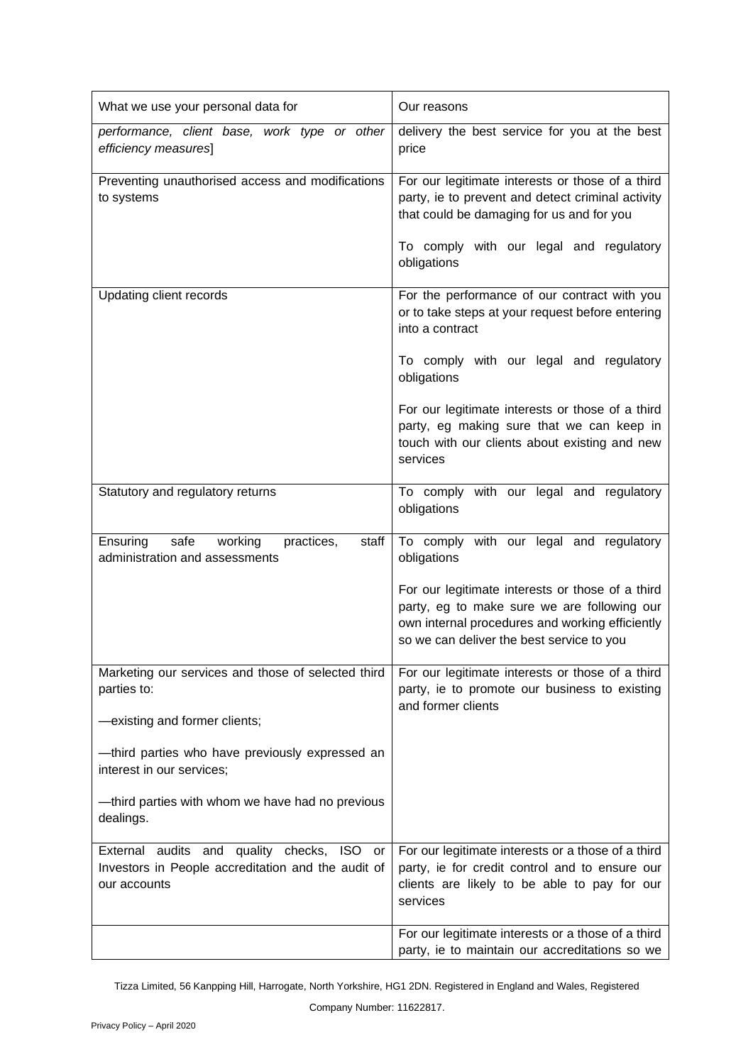| What we use your personal data for                                                                               | Our reasons                                                                                                                                                                                     |
|------------------------------------------------------------------------------------------------------------------|-------------------------------------------------------------------------------------------------------------------------------------------------------------------------------------------------|
| performance, client base, work type or other<br>efficiency measures]                                             | delivery the best service for you at the best<br>price                                                                                                                                          |
| Preventing unauthorised access and modifications<br>to systems                                                   | For our legitimate interests or those of a third<br>party, ie to prevent and detect criminal activity<br>that could be damaging for us and for you                                              |
|                                                                                                                  | To comply with our legal and regulatory<br>obligations                                                                                                                                          |
| Updating client records                                                                                          | For the performance of our contract with you<br>or to take steps at your request before entering<br>into a contract                                                                             |
|                                                                                                                  | To comply with our legal and regulatory<br>obligations                                                                                                                                          |
|                                                                                                                  | For our legitimate interests or those of a third<br>party, eg making sure that we can keep in<br>touch with our clients about existing and new<br>services                                      |
| Statutory and regulatory returns                                                                                 | To comply with our legal and regulatory<br>obligations                                                                                                                                          |
| Ensuring<br>safe<br>practices,<br>working<br>staff<br>administration and assessments                             | To comply with our legal and regulatory<br>obligations                                                                                                                                          |
|                                                                                                                  | For our legitimate interests or those of a third<br>party, eg to make sure we are following our<br>own internal procedures and working efficiently<br>so we can deliver the best service to you |
| Marketing our services and those of selected third<br>parties to:                                                | For our legitimate interests or those of a third<br>party, ie to promote our business to existing<br>and former clients                                                                         |
| -existing and former clients;                                                                                    |                                                                                                                                                                                                 |
| -third parties who have previously expressed an<br>interest in our services;                                     |                                                                                                                                                                                                 |
| -third parties with whom we have had no previous<br>dealings.                                                    |                                                                                                                                                                                                 |
| External audits and quality checks, ISO or<br>Investors in People accreditation and the audit of<br>our accounts | For our legitimate interests or a those of a third<br>party, ie for credit control and to ensure our<br>clients are likely to be able to pay for our<br>services                                |
|                                                                                                                  | For our legitimate interests or a those of a third<br>party, ie to maintain our accreditations so we                                                                                            |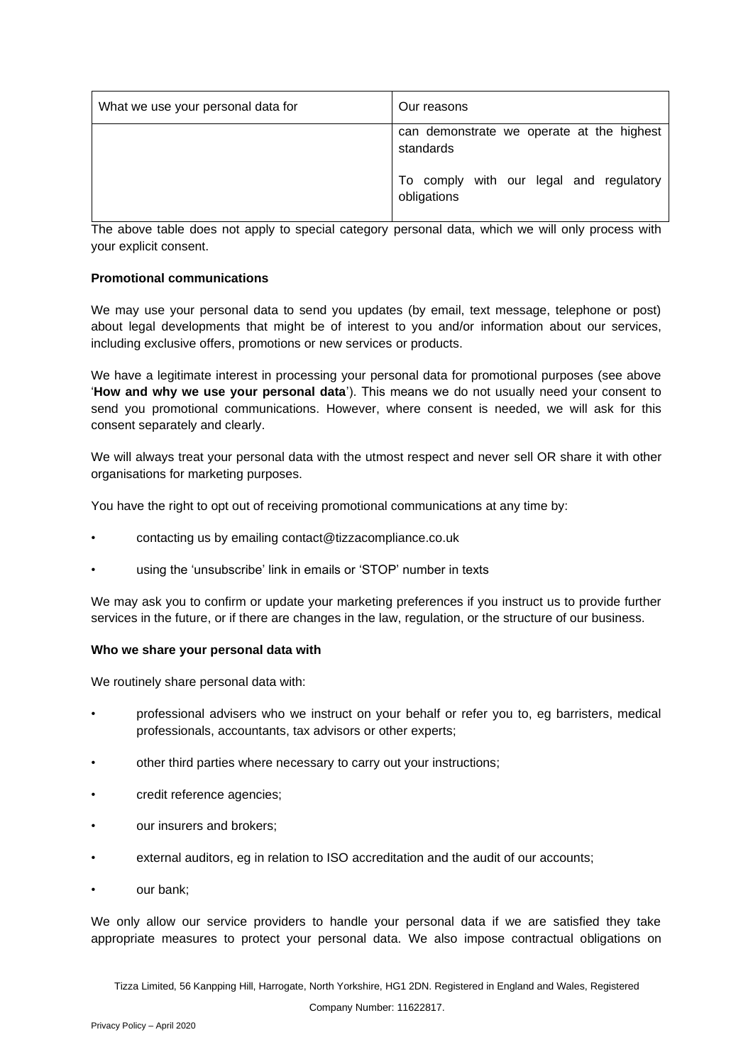| What we use your personal data for | Our reasons                                            |
|------------------------------------|--------------------------------------------------------|
|                                    | can demonstrate we operate at the highest<br>standards |
|                                    | To comply with our legal and regulatory<br>obligations |

The above table does not apply to special category personal data, which we will only process with your explicit consent.

# **Promotional communications**

We may use your personal data to send you updates (by email, text message, telephone or post) about legal developments that might be of interest to you and/or information about our services, including exclusive offers, promotions or new services or products.

We have a legitimate interest in processing your personal data for promotional purposes (see above '**How and why we use your personal data**'). This means we do not usually need your consent to send you promotional communications. However, where consent is needed, we will ask for this consent separately and clearly.

We will always treat your personal data with the utmost respect and never sell OR share it with other organisations for marketing purposes.

You have the right to opt out of receiving promotional communications at any time by:

- contacting us by emailing contact@tizzacompliance.co.uk
- using the 'unsubscribe' link in emails or 'STOP' number in texts

We may ask you to confirm or update your marketing preferences if you instruct us to provide further services in the future, or if there are changes in the law, regulation, or the structure of our business.

### **Who we share your personal data with**

We routinely share personal data with:

- professional advisers who we instruct on your behalf or refer you to, eg barristers, medical professionals, accountants, tax advisors or other experts;
- other third parties where necessary to carry out your instructions;
- credit reference agencies;
- our insurers and brokers:
- external auditors, eg in relation to ISO accreditation and the audit of our accounts;
- our bank;

We only allow our service providers to handle your personal data if we are satisfied they take appropriate measures to protect your personal data. We also impose contractual obligations on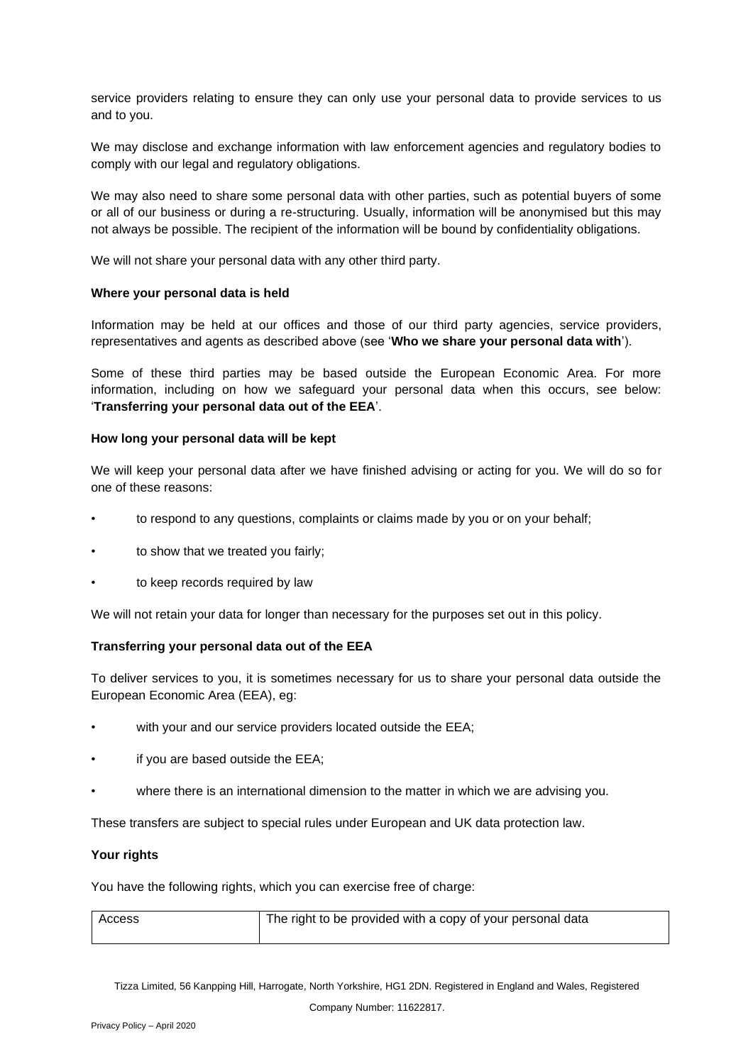service providers relating to ensure they can only use your personal data to provide services to us and to you.

We may disclose and exchange information with law enforcement agencies and regulatory bodies to comply with our legal and regulatory obligations.

We may also need to share some personal data with other parties, such as potential buyers of some or all of our business or during a re-structuring. Usually, information will be anonymised but this may not always be possible. The recipient of the information will be bound by confidentiality obligations.

We will not share your personal data with any other third party.

## **Where your personal data is held**

Information may be held at our offices and those of our third party agencies, service providers, representatives and agents as described above (see '**Who we share your personal data with**').

Some of these third parties may be based outside the European Economic Area. For more information, including on how we safeguard your personal data when this occurs, see below: '**Transferring your personal data out of the EEA**'.

## **How long your personal data will be kept**

We will keep your personal data after we have finished advising or acting for you. We will do so for one of these reasons:

- to respond to any questions, complaints or claims made by you or on your behalf;
- to show that we treated you fairly;
- to keep records required by law

We will not retain your data for longer than necessary for the purposes set out in this policy.

# **Transferring your personal data out of the EEA**

To deliver services to you, it is sometimes necessary for us to share your personal data outside the European Economic Area (EEA), eg:

- with your and our service providers located outside the EEA;
- if you are based outside the EEA;
- where there is an international dimension to the matter in which we are advising you.

These transfers are subject to special rules under European and UK data protection law.

# **Your rights**

You have the following rights, which you can exercise free of charge:

| Access | The right to be provided with a copy of your personal data |
|--------|------------------------------------------------------------|
|        |                                                            |

Tizza Limited, 56 Kanpping Hill, Harrogate, North Yorkshire, HG1 2DN. Registered in England and Wales, Registered

Company Number: 11622817.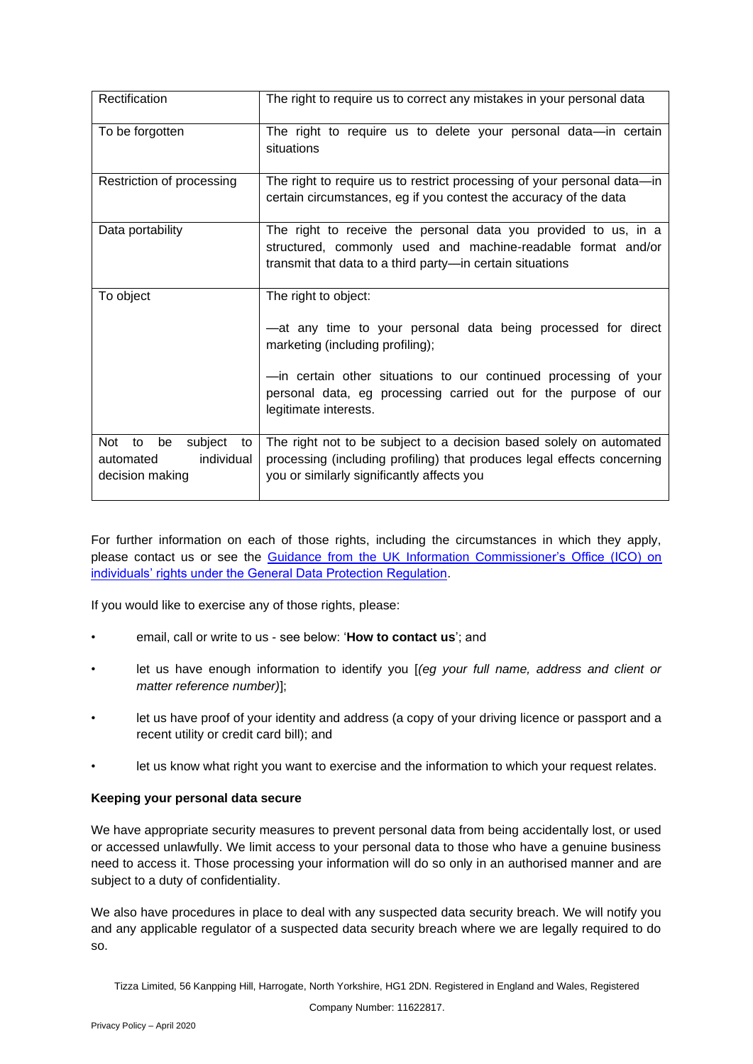| Rectification                                                                  | The right to require us to correct any mistakes in your personal data                                                                                                                                                                                                                     |
|--------------------------------------------------------------------------------|-------------------------------------------------------------------------------------------------------------------------------------------------------------------------------------------------------------------------------------------------------------------------------------------|
| To be forgotten                                                                | The right to require us to delete your personal data-in certain<br>situations                                                                                                                                                                                                             |
| Restriction of processing                                                      | The right to require us to restrict processing of your personal data-in<br>certain circumstances, eg if you contest the accuracy of the data                                                                                                                                              |
| Data portability                                                               | The right to receive the personal data you provided to us, in a<br>structured, commonly used and machine-readable format and/or<br>transmit that data to a third party-in certain situations                                                                                              |
| To object                                                                      | The right to object:<br>-at any time to your personal data being processed for direct<br>marketing (including profiling);<br>-in certain other situations to our continued processing of your<br>personal data, eg processing carried out for the purpose of our<br>legitimate interests. |
| Not<br>be<br>subject<br>to<br>to<br>individual<br>automated<br>decision making | The right not to be subject to a decision based solely on automated<br>processing (including profiling) that produces legal effects concerning<br>you or similarly significantly affects you                                                                                              |

For further information on each of those rights, including the circumstances in which they apply, please contact us or see the Guidance from the UK Information Commissioner's Office (ICO) on individuals' rights under the General Data Protection Regulation.

If you would like to exercise any of those rights, please:

- email, call or write to us see below: '**How to contact us**'; and
- let us have enough information to identify you [*(eg your full name, address and client or matter reference number)*];
- let us have proof of your identity and address (a copy of your driving licence or passport and a recent utility or credit card bill); and
- let us know what right you want to exercise and the information to which your request relates.

# **Keeping your personal data secure**

We have appropriate security measures to prevent personal data from being accidentally lost, or used or accessed unlawfully. We limit access to your personal data to those who have a genuine business need to access it. Those processing your information will do so only in an authorised manner and are subject to a duty of confidentiality.

We also have procedures in place to deal with any suspected data security breach. We will notify you and any applicable regulator of a suspected data security breach where we are legally required to do so.